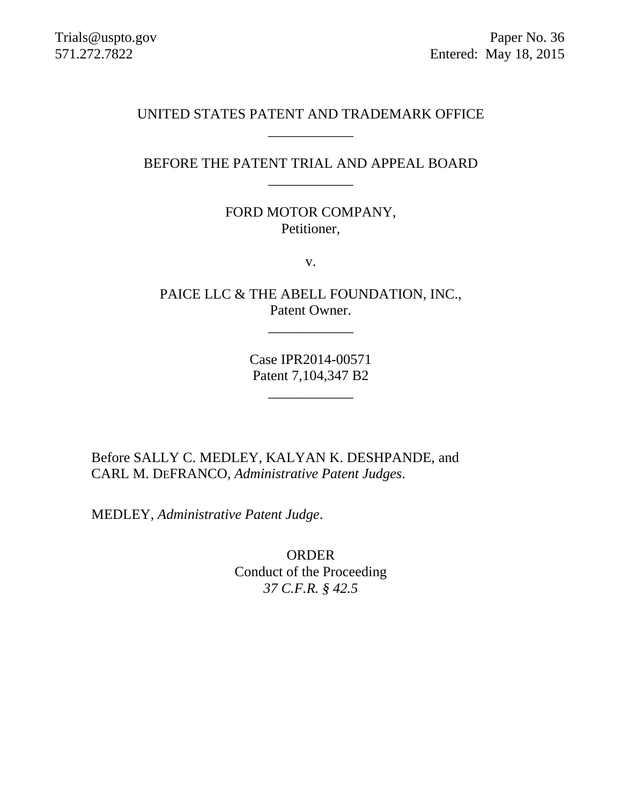#### UNITED STATES PATENT AND TRADEMARK OFFICE \_\_\_\_\_\_\_\_\_\_\_\_

## BEFORE THE PATENT TRIAL AND APPEAL BOARD \_\_\_\_\_\_\_\_\_\_\_\_

## FORD MOTOR COMPANY, Petitioner,

v.

PAICE LLC & THE ABELL FOUNDATION, INC., Patent Owner.

\_\_\_\_\_\_\_\_\_\_\_\_

Case IPR2014-00571 Patent 7,104,347 B2

\_\_\_\_\_\_\_\_\_\_\_\_

Before SALLY C. MEDLEY, KALYAN K. DESHPANDE, and CARL M. DEFRANCO, *Administrative Patent Judges*.

MEDLEY, *Administrative Patent Judge*.

ORDER Conduct of the Proceeding *37 C.F.R. § 42.5*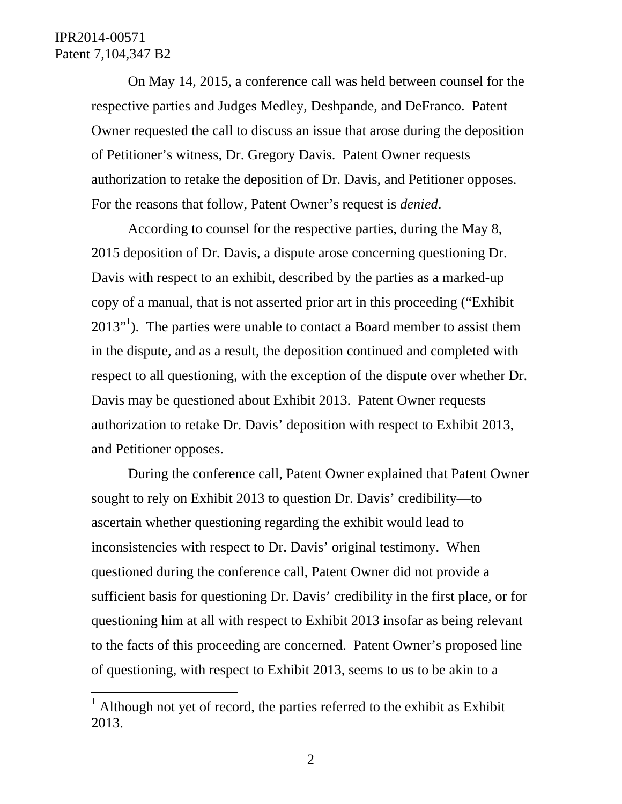$\overline{a}$ 

On May 14, 2015, a conference call was held between counsel for the respective parties and Judges Medley, Deshpande, and DeFranco. Patent Owner requested the call to discuss an issue that arose during the deposition of Petitioner's witness, Dr. Gregory Davis. Patent Owner requests authorization to retake the deposition of Dr. Davis, and Petitioner opposes. For the reasons that follow, Patent Owner's request is *denied*.

According to counsel for the respective parties, during the May 8, 2015 deposition of Dr. Davis, a dispute arose concerning questioning Dr. Davis with respect to an exhibit, described by the parties as a marked-up copy of a manual, that is not asserted prior art in this proceeding ("Exhibit  $2013$ <sup> $,$ 1</sup>). The parties were unable to contact a Board member to assist them in the dispute, and as a result, the deposition continued and completed with respect to all questioning, with the exception of the dispute over whether Dr. Davis may be questioned about Exhibit 2013. Patent Owner requests authorization to retake Dr. Davis' deposition with respect to Exhibit 2013, and Petitioner opposes.

During the conference call, Patent Owner explained that Patent Owner sought to rely on Exhibit 2013 to question Dr. Davis' credibility—to ascertain whether questioning regarding the exhibit would lead to inconsistencies with respect to Dr. Davis' original testimony. When questioned during the conference call, Patent Owner did not provide a sufficient basis for questioning Dr. Davis' credibility in the first place, or for questioning him at all with respect to Exhibit 2013 insofar as being relevant to the facts of this proceeding are concerned. Patent Owner's proposed line of questioning, with respect to Exhibit 2013, seems to us to be akin to a

<sup>&</sup>lt;sup>1</sup> Although not yet of record, the parties referred to the exhibit as Exhibit 2013.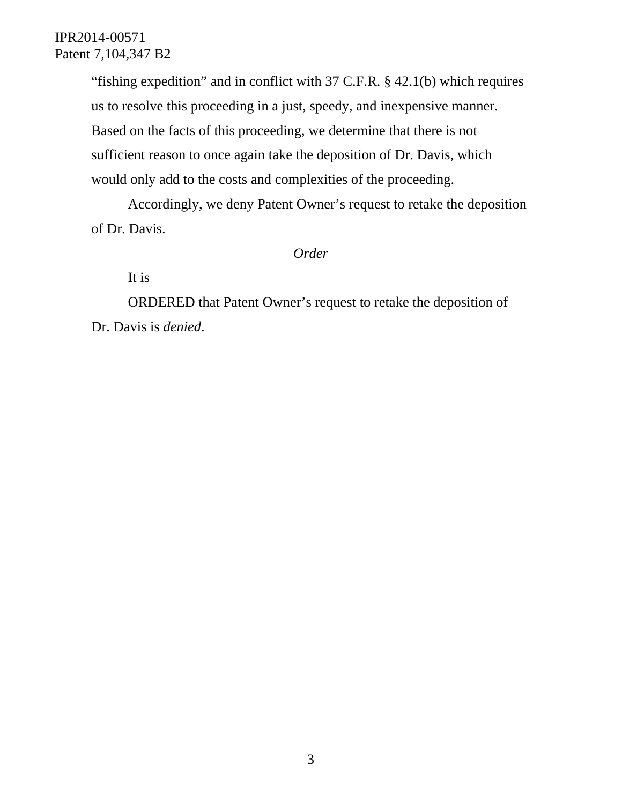"fishing expedition" and in conflict with 37 C.F.R. § 42.1(b) which requires us to resolve this proceeding in a just, speedy, and inexpensive manner. Based on the facts of this proceeding, we determine that there is not sufficient reason to once again take the deposition of Dr. Davis, which would only add to the costs and complexities of the proceeding.

Accordingly, we deny Patent Owner's request to retake the deposition of Dr. Davis.

#### *Order*

It is

ORDERED that Patent Owner's request to retake the deposition of Dr. Davis is *denied*.